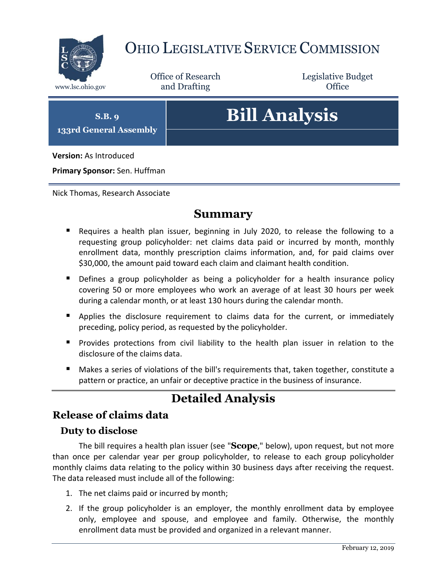

## OHIO LEGISLATIVE SERVICE COMMISSION

Office of Research www.lsc.ohio.gov and Drafting Control of Control of the Control of Control of the Control of Control of the Control of the Control of the Control of the Control of the Control of the Control of the Control of the Control o

Legislative Budget

**S.B. 9 133rd General Assembly**

# **Bill Analysis**

**Version:** As Introduced

**Primary Sponsor:** Sen. Huffman

Nick Thomas, Research Associate

#### **Summary**

- Requires a health plan issuer, beginning in July 2020, to release the following to a requesting group policyholder: net claims data paid or incurred by month, monthly enrollment data, monthly prescription claims information, and, for paid claims over \$30,000, the amount paid toward each claim and claimant health condition.
- Defines a group policyholder as being a policyholder for a health insurance policy covering 50 or more employees who work an average of at least 30 hours per week during a calendar month, or at least 130 hours during the calendar month.
- **Applies the disclosure requirement to claims data for the current, or immediately** preceding, policy period, as requested by the policyholder.
- **Provides protections from civil liability to the health plan issuer in relation to the** disclosure of the claims data.
- Makes a series of violations of the bill's requirements that, taken together, constitute a pattern or practice, an unfair or deceptive practice in the business of insurance.

### **Detailed Analysis**

#### **Release of claims data**

#### **Duty to disclose**

The bill requires a health plan issuer (see "**Scope**," below), upon request, but not more than once per calendar year per group policyholder, to release to each group policyholder monthly claims data relating to the policy within 30 business days after receiving the request. The data released must include all of the following:

- 1. The net claims paid or incurred by month;
- 2. If the group policyholder is an employer, the monthly enrollment data by employee only, employee and spouse, and employee and family. Otherwise, the monthly enrollment data must be provided and organized in a relevant manner.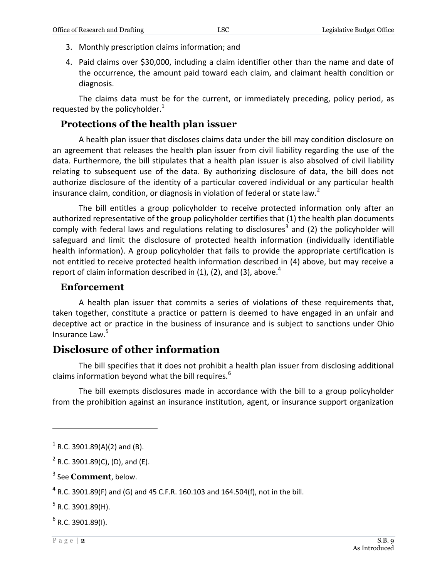- 3. Monthly prescription claims information; and
- 4. Paid claims over \$30,000, including a claim identifier other than the name and date of the occurrence, the amount paid toward each claim, and claimant health condition or diagnosis.

The claims data must be for the current, or immediately preceding, policy period, as requested by the policyholder. $1$ 

#### **Protections of the health plan issuer**

A health plan issuer that discloses claims data under the bill may condition disclosure on an agreement that releases the health plan issuer from civil liability regarding the use of the data. Furthermore, the bill stipulates that a health plan issuer is also absolved of civil liability relating to subsequent use of the data. By authorizing disclosure of data, the bill does not authorize disclosure of the identity of a particular covered individual or any particular health insurance claim, condition, or diagnosis in violation of federal or state law.<sup>2</sup>

The bill entitles a group policyholder to receive protected information only after an authorized representative of the group policyholder certifies that (1) the health plan documents comply with federal laws and regulations relating to disclosures<sup>3</sup> and (2) the policyholder will safeguard and limit the disclosure of protected health information (individually identifiable health information). A group policyholder that fails to provide the appropriate certification is not entitled to receive protected health information described in (4) above, but may receive a report of claim information described in  $(1)$ ,  $(2)$ , and  $(3)$ , above.<sup>4</sup>

#### **Enforcement**

A health plan issuer that commits a series of violations of these requirements that, taken together, constitute a practice or pattern is deemed to have engaged in an unfair and deceptive act or practice in the business of insurance and is subject to sanctions under Ohio Insurance Law.<sup>5</sup>

#### **Disclosure of other information**

The bill specifies that it does not prohibit a health plan issuer from disclosing additional claims information beyond what the bill requires. $6$ 

The bill exempts disclosures made in accordance with the bill to a group policyholder from the prohibition against an insurance institution, agent, or insurance support organization

3 See **Comment**, below.

 $^6$  R.C. 3901.89(I).

 $\overline{a}$ 

 $^{1}$  R.C. 3901.89(A)(2) and (B).

 $2^2$  R.C. 3901.89(C), (D), and (E).

 $^4$  R.C. 3901.89(F) and (G) and 45 C.F.R. 160.103 and 164.504(f), not in the bill.

 $^5$  R.C. 3901.89(H).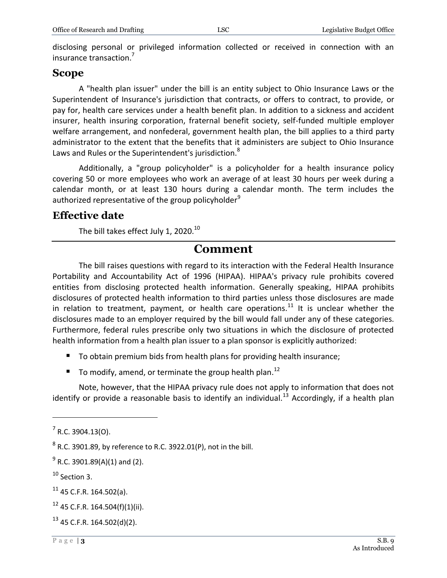disclosing personal or privileged information collected or received in connection with an insurance transaction.<sup>7</sup>

#### **Scope**

A "health plan issuer" under the bill is an entity subject to Ohio Insurance Laws or the Superintendent of Insurance's jurisdiction that contracts, or offers to contract, to provide, or pay for, health care services under a health benefit plan. In addition to a sickness and accident insurer, health insuring corporation, fraternal benefit society, self-funded multiple employer welfare arrangement, and nonfederal, government health plan, the bill applies to a third party administrator to the extent that the benefits that it administers are subject to Ohio Insurance Laws and Rules or the Superintendent's jurisdiction.<sup>8</sup>

Additionally, a "group policyholder" is a policyholder for a health insurance policy covering 50 or more employees who work an average of at least 30 hours per week during a calendar month, or at least 130 hours during a calendar month. The term includes the authorized representative of the group policyholder<sup>9</sup>

#### **Effective date**

The bill takes effect July 1, 2020. $^{10}$ 

#### **Comment**

The bill raises questions with regard to its interaction with the Federal Health Insurance Portability and Accountability Act of 1996 (HIPAA). HIPAA's privacy rule prohibits covered entities from disclosing protected health information. Generally speaking, HIPAA prohibits disclosures of protected health information to third parties unless those disclosures are made in relation to treatment, payment, or health care operations.<sup>11</sup> It is unclear whether the disclosures made to an employer required by the bill would fall under any of these categories. Furthermore, federal rules prescribe only two situations in which the disclosure of protected health information from a health plan issuer to a plan sponsor is explicitly authorized:

- To obtain premium bids from health plans for providing health insurance;
- To modify, amend, or terminate the group health plan.<sup>12</sup>

Note, however, that the HIPAA privacy rule does not apply to information that does not identify or provide a reasonable basis to identify an individual.<sup>13</sup> Accordingly, if a health plan

 $\overline{a}$ 

 $13$  45 C.F.R. 164.502(d)(2).

 $7$  R.C. 3904.13(O).

 $^8$  R.C. 3901.89, by reference to R.C. 3922.01(P), not in the bill.

 $^{9}$  R.C. 3901.89(A)(1) and (2).

<sup>&</sup>lt;sup>10</sup> Section 3.

 $11$  45 C.F.R. 164.502(a).

 $12$  45 C.F.R. 164.504(f)(1)(ii).